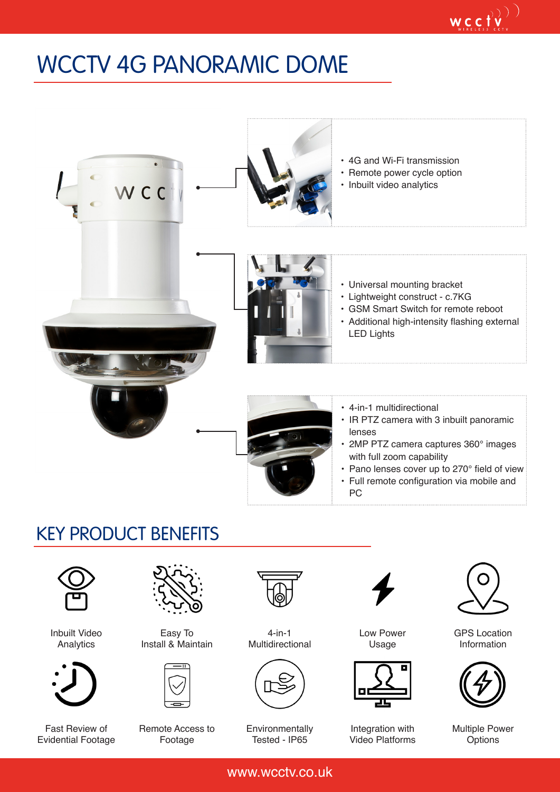## WCCTV 4G PANORAMIC DOME



## KEY PRODUCT BENEFITS



Inbuilt Video Analytics



Fast Review of Evidential Footage



Easy To Install & Maintain



Remote Access to Footage



4-in-1 Multidirectional



Environmentally Tested - IP65



Low Power Usage



Integration with Video Platforms



 $\mathop{\mathsf{wc}}\limits_{\mathop{\mathsf{cyc}}\limits_{\mathop{\mathsf{cyc}}\limits^{\mathop{\mathsf{cyc}}} \mathop{\mathsf{cyc}}} \mathop{\mathsf{cyc}}}^{\mathop{\mathsf{cyc}}}(\mathop{\mathsf{cyc}}\limits^{\mathop{\mathsf{cyc}}}$ 

GPS Location Information



Multiple Power **Options** 

www.wcctv.co.uk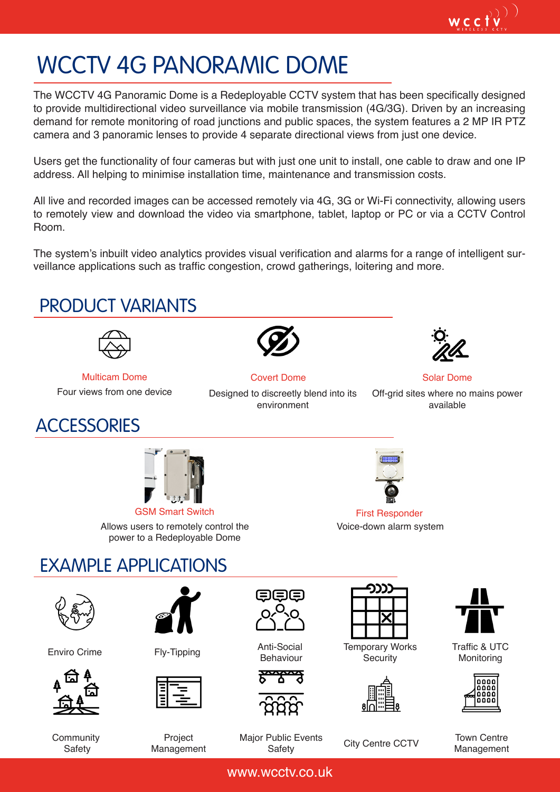## WCCTV 4G PANORAMIC DOME

The WCCTV 4G Panoramic Dome is a Redeployable CCTV system that has been specifically designed to provide multidirectional video surveillance via mobile transmission (4G/3G). Driven by an increasing demand for remote monitoring of road junctions and public spaces, the system features a 2 MP IR PTZ camera and 3 panoramic lenses to provide 4 separate directional views from just one device.

Users get the functionality of four cameras but with just one unit to install, one cable to draw and one IP address. All helping to minimise installation time, maintenance and transmission costs.

All live and recorded images can be accessed remotely via 4G, 3G or Wi-Fi connectivity, allowing users to remotely view and download the video via smartphone, tablet, laptop or PC or via a CCTV Control Room.

The system's inbuilt video analytics provides visual verification and alarms for a range of intelligent surveillance applications such as traffic congestion, crowd gatherings, loitering and more.



www.wcctv.co.uk